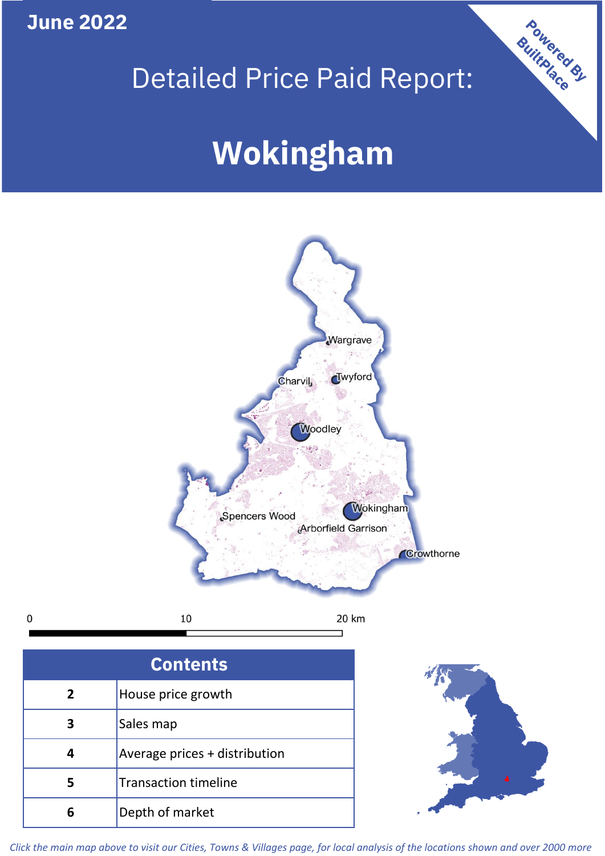## **June 2022**

**5**

**4**

## Detailed Price Paid Report:

Powered By

# **Wokingham**



*Click the main map above to visit our Cities, Towns & Villages page, for local analysis of the locations shown and over 2000 more*

Average prices + distribution

Transaction timeline

**6** Depth of market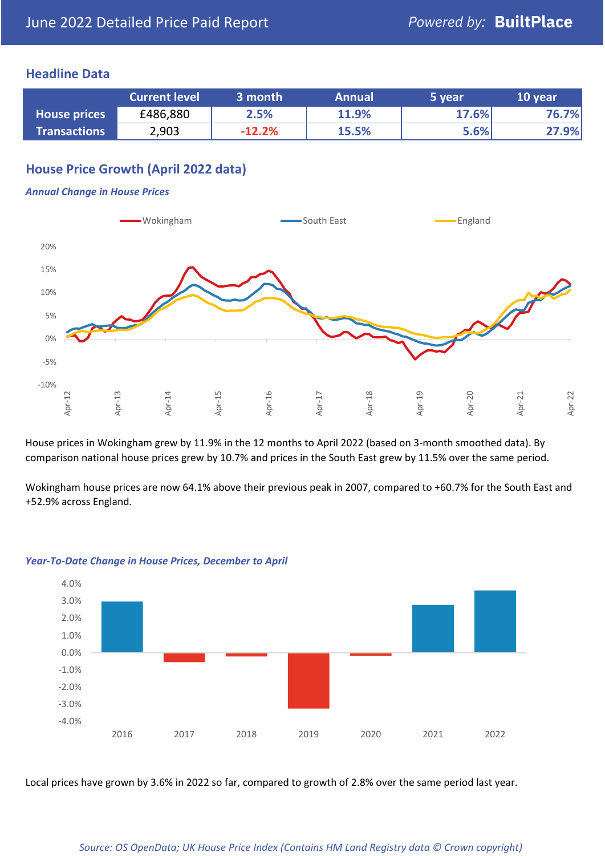#### **Headline Data**

|                     | <b>Current level</b> | 3 month  | <b>Annual</b> | 5 year | 10 year |
|---------------------|----------------------|----------|---------------|--------|---------|
| <b>House prices</b> | £486,880             | 2.5%     | 11.9%         | 17.6%  | 76.7%   |
| <b>Transactions</b> | 2,903                | $-12.2%$ | 15.5%         | 5.6%   | 27.9%   |

## **House Price Growth (April 2022 data)**

#### *Annual Change in House Prices*



House prices in Wokingham grew by 11.9% in the 12 months to April 2022 (based on 3-month smoothed data). By comparison national house prices grew by 10.7% and prices in the South East grew by 11.5% over the same period.

Wokingham house prices are now 64.1% above their previous peak in 2007, compared to +60.7% for the South East and +52.9% across England.



#### *Year-To-Date Change in House Prices, December to April*

Local prices have grown by 3.6% in 2022 so far, compared to growth of 2.8% over the same period last year.

#### *Source: OS OpenData; UK House Price Index (Contains HM Land Registry data © Crown copyright)*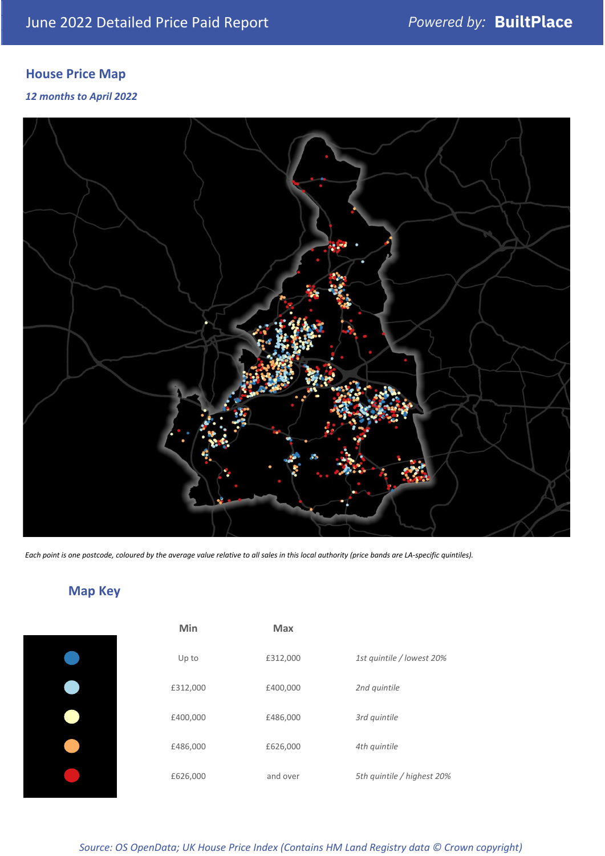## **House Price Map**

*12 months to April 2022*



*Each point is one postcode, coloured by the average value relative to all sales in this local authority (price bands are LA-specific quintiles).*

## **Map Key**

| Min      | <b>Max</b> |                            |
|----------|------------|----------------------------|
| Up to    | £312,000   | 1st quintile / lowest 20%  |
| £312,000 | £400,000   | 2nd quintile               |
| £400,000 | £486,000   | 3rd quintile               |
| £486,000 | £626,000   | 4th quintile               |
| £626,000 | and over   | 5th quintile / highest 20% |

*Source: OS OpenData; UK House Price Index (Contains HM Land Registry data © Crown copyright)*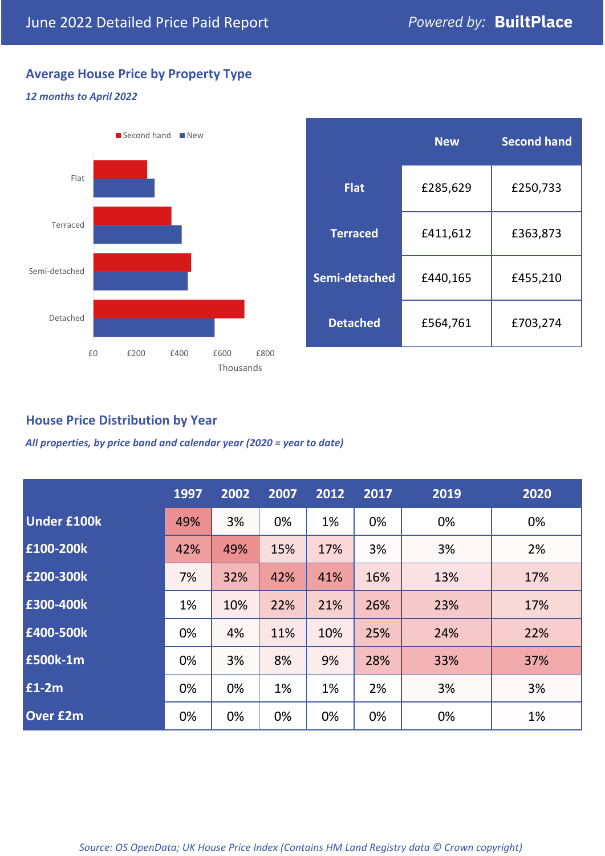## **Average House Price by Property Type**

#### *12 months to April 2022*



|                 | <b>New</b> | <b>Second hand</b> |  |  |
|-----------------|------------|--------------------|--|--|
| <b>Flat</b>     | £285,629   | £250,733           |  |  |
| <b>Terraced</b> | £411,612   | £363,873           |  |  |
| Semi-detached   | £440,165   | £455,210           |  |  |
| <b>Detached</b> | £564,761   | £703,274           |  |  |

## **House Price Distribution by Year**

*All properties, by price band and calendar year (2020 = year to date)*

|                    | 1997 | 2002 | 2007 | 2012 | 2017 | 2019 | 2020 |
|--------------------|------|------|------|------|------|------|------|
| <b>Under £100k</b> | 49%  | 3%   | 0%   | 1%   | 0%   | 0%   | 0%   |
| £100-200k          | 42%  | 49%  | 15%  | 17%  | 3%   | 3%   | 2%   |
| E200-300k          | 7%   | 32%  | 42%  | 41%  | 16%  | 13%  | 17%  |
| £300-400k          | 1%   | 10%  | 22%  | 21%  | 26%  | 23%  | 17%  |
| £400-500k          | 0%   | 4%   | 11%  | 10%  | 25%  | 24%  | 22%  |
| <b>£500k-1m</b>    | 0%   | 3%   | 8%   | 9%   | 28%  | 33%  | 37%  |
| £1-2m              | 0%   | 0%   | 1%   | 1%   | 2%   | 3%   | 3%   |
| <b>Over £2m</b>    | 0%   | 0%   | 0%   | 0%   | 0%   | 0%   | 1%   |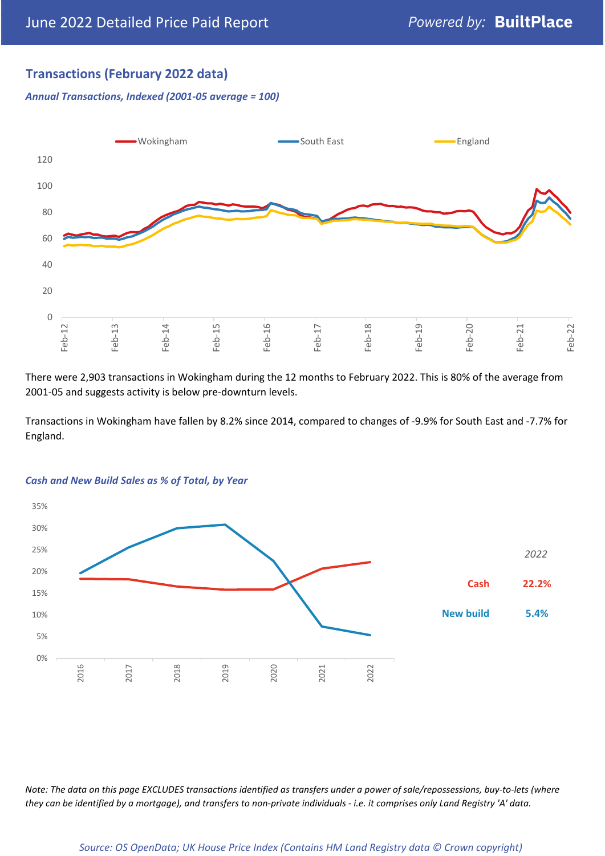## **Transactions (February 2022 data)**

*Annual Transactions, Indexed (2001-05 average = 100)*



There were 2,903 transactions in Wokingham during the 12 months to February 2022. This is 80% of the average from 2001-05 and suggests activity is below pre-downturn levels.

Transactions in Wokingham have fallen by 8.2% since 2014, compared to changes of -9.9% for South East and -7.7% for England.



#### *Cash and New Build Sales as % of Total, by Year*

*Note: The data on this page EXCLUDES transactions identified as transfers under a power of sale/repossessions, buy-to-lets (where they can be identified by a mortgage), and transfers to non-private individuals - i.e. it comprises only Land Registry 'A' data.*